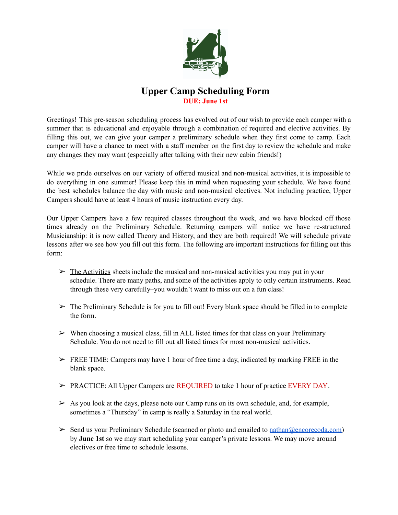

## **Upper Camp Scheduling Form DUE: June 1st**

Greetings! This pre-season scheduling process has evolved out of our wish to provide each camper with a summer that is educational and enjoyable through a combination of required and elective activities. By filling this out, we can give your camper a preliminary schedule when they first come to camp. Each camper will have a chance to meet with a staff member on the first day to review the schedule and make any changes they may want (especially after talking with their new cabin friends!)

While we pride ourselves on our variety of offered musical and non-musical activities, it is impossible to do everything in one summer! Please keep this in mind when requesting your schedule. We have found the best schedules balance the day with music and non-musical electives. Not including practice, Upper Campers should have at least 4 hours of music instruction every day.

Our Upper Campers have a few required classes throughout the week, and we have blocked off those times already on the Preliminary Schedule. Returning campers will notice we have re-structured Musicianship: it is now called Theory and History, and they are both required! We will schedule private lessons after we see how you fill out this form. The following are important instructions for filling out this form:

- $\triangleright$  The Activities sheets include the musical and non-musical activities you may put in your schedule. There are many paths, and some of the activities apply to only certain instruments. Read through these very carefully–you wouldn't want to miss out on a fun class!
- $\triangleright$  The Preliminary Schedule is for you to fill out! Every blank space should be filled in to complete the form.
- $\triangleright$  When choosing a musical class, fill in ALL listed times for that class on your Preliminary Schedule. You do not need to fill out all listed times for most non-musical activities.
- $\triangleright$  FREE TIME: Campers may have 1 hour of free time a day, indicated by marking FREE in the blank space.
- ➢ PRACTICE: All Upper Campers are REQUIRED to take 1 hour of practice EVERY DAY.
- $\triangleright$  As you look at the days, please note our Camp runs on its own schedule, and, for example, sometimes a "Thursday" in camp is really a Saturday in the real world.
- $\triangleright$  Send us your Preliminary Schedule (scanned or photo and emailed to nathan @encorecoda.com) by **June 1st** so we may start scheduling your camper's private lessons. We may move around electives or free time to schedule lessons.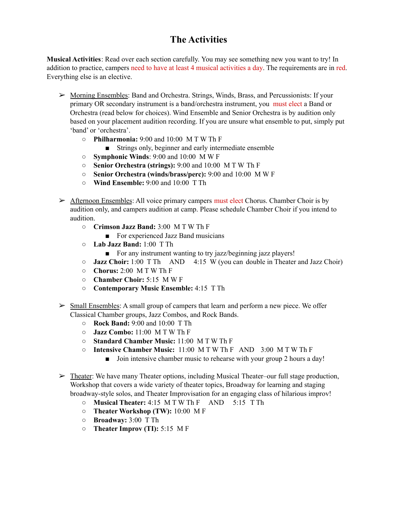# **The Activities**

**Musical Activities**: Read over each section carefully. You may see something new you want to try! In addition to practice, campers need to have at least 4 musical activities a day. The requirements are in red. Everything else is an elective.

- ➢ Morning Ensembles: Band and Orchestra. Strings, Winds, Brass, and Percussionists: If your primary OR secondary instrument is a band/orchestra instrument, you must elect a Band or Orchestra (read below for choices). Wind Ensemble and Senior Orchestra is by audition only based on your placement audition recording. If you are unsure what ensemble to put, simply put 'band' or 'orchestra'.
	- **Philharmonia:** 9:00 and 10:00 M T W Th F
		- Strings only, beginner and early intermediate ensemble
	- **○ Symphonic Winds**: 9:00 and 10:00 M W F
	- **○ Senior Orchestra (strings):** 9:00 and 10:00 M T W Th F
	- **○ Senior Orchestra (winds/brass/perc):** 9:00 and 10:00 M W F
	- **○ Wind Ensemble:** 9:00 and 10:00 T Th
- $\triangleright$  Afternoon Ensembles: All voice primary campers must elect Chorus. Chamber Choir is by audition only, and campers audition at camp. Please schedule Chamber Choir if you intend to audition.
	- **○ Crimson Jazz Band:** 3:00 M T W Th F
		- For experienced Jazz Band musicians
	- **○ Lab Jazz Band:** 1:00 T Th
		- For any instrument wanting to try jazz/beginning jazz players!
	- **○ Jazz Choir:** 1:00 T Th AND 4:15 W (you can double in Theater and Jazz Choir)
	- **○ Chorus:** 2:00 M T W Th F
	- **○ Chamber Choir:** 5:15 M W F
	- **○ Contemporary Music Ensemble:** 4:15 T Th
- $\triangleright$  Small Ensembles: A small group of campers that learn and perform a new piece. We offer Classical Chamber groups, Jazz Combos, and Rock Bands.
	- **Rock Band:** 9:00 and 10:00 T Th
	- **○ Jazz Combo:** 11:00 M T W Th F
	- **Standard Chamber Music:** 11:00 M T W Th F
	- **Intensive Chamber Music:** 11:00 M T W Th F AND 3:00 M T W Th F
		- Join intensive chamber music to rehearse with your group 2 hours a day!

 $\triangleright$  Theater: We have many Theater options, including Musical Theater–our full stage production, Workshop that covers a wide variety of theater topics, Broadway for learning and staging broadway-style solos, and Theater Improvisation for an engaging class of hilarious improv!

- **○ Musical Theater:** 4:15 M T W Th F AND 5:15 T Th
- **○ Theater Workshop (TW):** 10:00 M F
- **○ Broadway:** 3:00 T Th
- **○ Theater Improv (TI):** 5:15 M F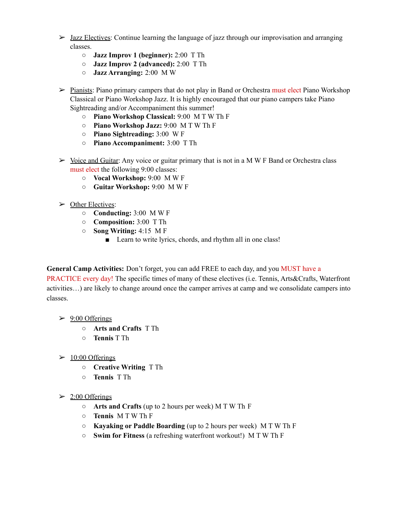- $\geq$  Jazz Electives: Continue learning the language of jazz through our improvisation and arranging classes.
	- **○ Jazz Improv 1 (beginner):** 2:00 T Th
	- **○ Jazz Improv 2 (advanced):** 2:00 T Th
	- **○ Jazz Arranging:** 2:00 M W
- $\triangleright$  Pianists: Piano primary campers that do not play in Band or Orchestra must elect Piano Workshop Classical or Piano Workshop Jazz. It is highly encouraged that our piano campers take Piano Sightreading and/or Accompaniment this summer!
	- **○ Piano Workshop Classical:** 9:00 M T W Th F
	- **Piano Workshop Jazz:** 9:00 M T W Th F
	- **○ Piano Sightreading:** 3:00 W F
	- **○ Piano Accompaniment:** 3:00 T Th
- $\triangleright$  Voice and Guitar: Any voice or guitar primary that is not in a M W F Band or Orchestra class must elect the following 9:00 classes:
	- **○ Vocal Workshop:** 9:00 M W F
	- **○ Guitar Workshop:** 9:00 M W F
- $\triangleright$  Other Electives:
	- **○ Conducting:** 3:00 M W F
	- **○ Composition:** 3:00 T Th
	- **○ Song Writing:** 4:15 M F
		- Learn to write lyrics, chords, and rhythm all in one class!

**General Camp Activities:** Don't forget, you can add FREE to each day, and you MUST have a

PRACTICE every day! The specific times of many of these electives (i.e. Tennis, Arts&Crafts, Waterfront activities…) are likely to change around once the camper arrives at camp and we consolidate campers into classes.

#### $\geq 9:00$  Offerings

- **○ Arts and Crafts** T Th
- **○ Tennis** T Th
- $\geq 10:00$  Offerings
	- **○ Creative Writing** T Th
	- **○ Tennis** T Th

#### $\geq 2:00$  Offerings

- **○ Arts and Crafts** (up to 2 hours per week) M T W Th F
- **○ Tennis** M T W Th F
- **○ Kayaking or Paddle Boarding** (up to 2 hours per week) M T W Th F
- **○ Swim for Fitness** (a refreshing waterfront workout!) M T W Th F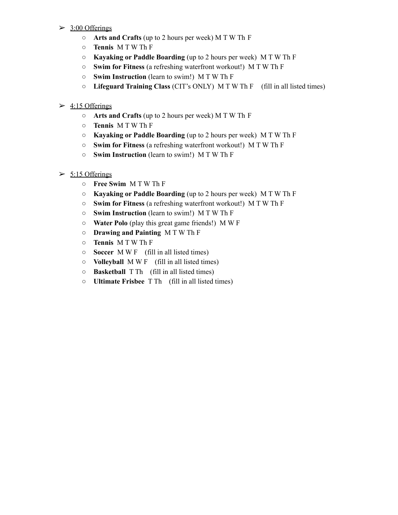### $\geq$  3:00 Offerings

- **○ Arts and Crafts** (up to 2 hours per week) M T W Th F
- **○ Tennis** M T W Th F
- **○ Kayaking or Paddle Boarding** (up to 2 hours per week) M T W Th F
- **○ Swim for Fitness** (a refreshing waterfront workout!) M T W Th F
- **○ Swim Instruction** (learn to swim!) M T W Th F
- **○ Lifeguard Training Class** (CIT's ONLY) M T W Th F (fill in all listed times)

### $\geq 4:15$  Offerings

- **○ Arts and Crafts** (up to 2 hours per week) M T W Th F
- **○ Tennis** M T W Th F
- **○ Kayaking or Paddle Boarding** (up to 2 hours per week) M T W Th F
- **○ Swim for Fitness** (a refreshing waterfront workout!) M T W Th F
- **○ Swim Instruction** (learn to swim!) M T W Th F
- $\geq$  5:15 Offerings
	- **○ Free Swim** M T W Th F
	- **○ Kayaking or Paddle Boarding** (up to 2 hours per week) M T W Th F
	- **Swim for Fitness** (a refreshing waterfront workout!) M T W Th F
	- **Swim Instruction** (learn to swim!) M T W Th F
	- **○ Water Polo** (play this great game friends!) M W F
	- **○ Drawing and Painting** M T W Th F
	- **○ Tennis** M T W Th F
	- **○ Soccer** M W F (fill in all listed times)
	- **○ Volleyball** M W F (fill in all listed times)
	- **○ Basketball** T Th (fill in all listed times)
	- **○ Ultimate Frisbee** T Th (fill in all listed times)